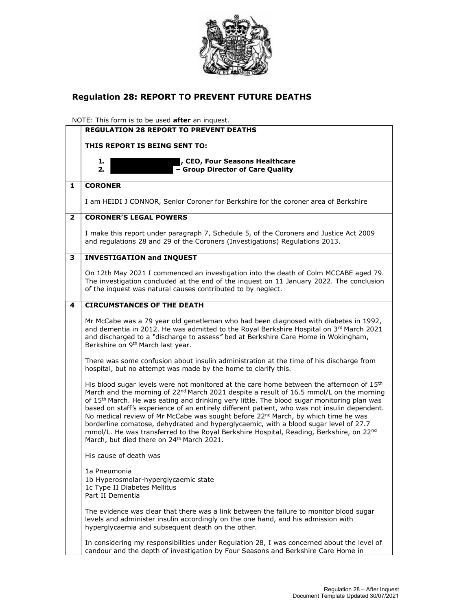

## Regulation 28: REPORT TO PREVENT FUTURE DEATHS

NOTE: This form is to be used **after** an inquest.

|              | <b>REGULATION 28 REPORT TO PREVENT DEATHS</b>                                                                                                                                                                                                                                                                                                                                                                                                                                                                                                                                                                                                                                                                                                                      |
|--------------|--------------------------------------------------------------------------------------------------------------------------------------------------------------------------------------------------------------------------------------------------------------------------------------------------------------------------------------------------------------------------------------------------------------------------------------------------------------------------------------------------------------------------------------------------------------------------------------------------------------------------------------------------------------------------------------------------------------------------------------------------------------------|
|              | THIS REPORT IS BEING SENT TO:                                                                                                                                                                                                                                                                                                                                                                                                                                                                                                                                                                                                                                                                                                                                      |
|              | , CEO, Four Seasons Healthcare<br>1.<br>$\overline{-}$ Group Director of Care Quality<br>2.                                                                                                                                                                                                                                                                                                                                                                                                                                                                                                                                                                                                                                                                        |
| 1            | <b>CORONER</b>                                                                                                                                                                                                                                                                                                                                                                                                                                                                                                                                                                                                                                                                                                                                                     |
|              | I am HEIDI J CONNOR, Senior Coroner for Berkshire for the coroner area of Berkshire                                                                                                                                                                                                                                                                                                                                                                                                                                                                                                                                                                                                                                                                                |
| $\mathbf{2}$ | <b>CORONER'S LEGAL POWERS</b>                                                                                                                                                                                                                                                                                                                                                                                                                                                                                                                                                                                                                                                                                                                                      |
|              | I make this report under paragraph 7, Schedule 5, of the Coroners and Justice Act 2009<br>and regulations 28 and 29 of the Coroners (Investigations) Regulations 2013.                                                                                                                                                                                                                                                                                                                                                                                                                                                                                                                                                                                             |
| 3            | <b>INVESTIGATION and INQUEST</b>                                                                                                                                                                                                                                                                                                                                                                                                                                                                                                                                                                                                                                                                                                                                   |
|              | On 12th May 2021 I commenced an investigation into the death of Colm MCCABE aged 79.<br>The investigation concluded at the end of the inquest on 11 January 2022. The conclusion<br>of the inquest was natural causes contributed to by neglect.                                                                                                                                                                                                                                                                                                                                                                                                                                                                                                                   |
| 4            | <b>CIRCUMSTANCES OF THE DEATH</b>                                                                                                                                                                                                                                                                                                                                                                                                                                                                                                                                                                                                                                                                                                                                  |
|              | Mr McCabe was a 79 year old genetleman who had been diagnosed with diabetes in 1992,<br>and dementia in 2012. He was admitted to the Royal Berkshire Hospital on 3rd March 2021<br>and discharged to a "discharge to assess" bed at Berkshire Care Home in Wokingham,<br>Berkshire on 9 <sup>th</sup> March last year.                                                                                                                                                                                                                                                                                                                                                                                                                                             |
|              | There was some confusion about insulin administration at the time of his discharge from<br>hospital, but no attempt was made by the home to clarify this.                                                                                                                                                                                                                                                                                                                                                                                                                                                                                                                                                                                                          |
|              | His blood sugar levels were not monitored at the care home between the afternoon of 15 <sup>th</sup><br>March and the morning of 22 <sup>nd</sup> March 2021 despite a result of 16.5 mmol/L on the morning<br>of 15 <sup>th</sup> March. He was eating and drinking very little. The blood sugar monitoring plan was<br>based on staff's experience of an entirely different patient, who was not insulin dependent.<br>No medical review of Mr McCabe was sought before 22 <sup>nd</sup> March, by which time he was<br>borderline comatose, dehydrated and hyperglycaemic, with a blood sugar level of 27.7<br>mmol/L. He was transferred to the Royal Berkshire Hospital, Reading, Berkshire, on 22nd<br>March, but died there on 24 <sup>th</sup> March 2021. |
|              | His cause of death was                                                                                                                                                                                                                                                                                                                                                                                                                                                                                                                                                                                                                                                                                                                                             |
|              | 1a Pneumonia<br>1b Hyperosmolar-hyperglycaemic state<br>1c Type II Diabetes Mellitus<br>Part II Dementia                                                                                                                                                                                                                                                                                                                                                                                                                                                                                                                                                                                                                                                           |
|              | The evidence was clear that there was a link between the failure to monitor blood sugar<br>levels and administer insulin accordingly on the one hand, and his admission with<br>hyperglycaemia and subsequent death on the other.                                                                                                                                                                                                                                                                                                                                                                                                                                                                                                                                  |
|              | In considering my responsibilities under Regulation 28, I was concerned about the level of<br>candour and the depth of investigation by Four Seasons and Berkshire Care Home in                                                                                                                                                                                                                                                                                                                                                                                                                                                                                                                                                                                    |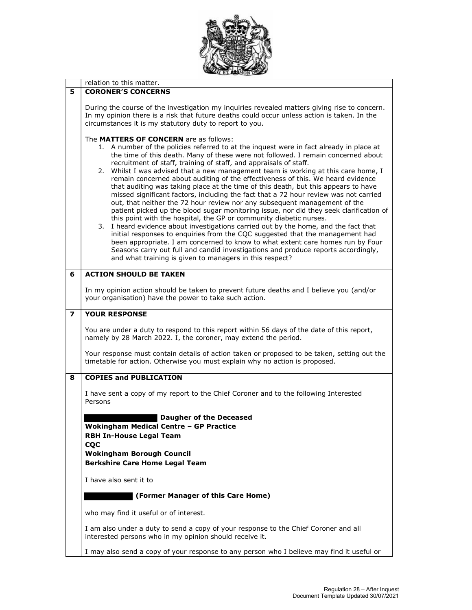

|                         | relation to this matter.                                                                                                                                                                                                                                                                                                                                                                                                                                                                                                                                                                                                                                                                                                                                                                                                                                                                                                                                                                                                                                                                                                                                                                                                                                                                                     |
|-------------------------|--------------------------------------------------------------------------------------------------------------------------------------------------------------------------------------------------------------------------------------------------------------------------------------------------------------------------------------------------------------------------------------------------------------------------------------------------------------------------------------------------------------------------------------------------------------------------------------------------------------------------------------------------------------------------------------------------------------------------------------------------------------------------------------------------------------------------------------------------------------------------------------------------------------------------------------------------------------------------------------------------------------------------------------------------------------------------------------------------------------------------------------------------------------------------------------------------------------------------------------------------------------------------------------------------------------|
| 5                       | <b>CORONER'S CONCERNS</b>                                                                                                                                                                                                                                                                                                                                                                                                                                                                                                                                                                                                                                                                                                                                                                                                                                                                                                                                                                                                                                                                                                                                                                                                                                                                                    |
|                         | During the course of the investigation my inquiries revealed matters giving rise to concern.<br>In my opinion there is a risk that future deaths could occur unless action is taken. In the<br>circumstances it is my statutory duty to report to you.                                                                                                                                                                                                                                                                                                                                                                                                                                                                                                                                                                                                                                                                                                                                                                                                                                                                                                                                                                                                                                                       |
|                         | The MATTERS OF CONCERN are as follows:<br>1. A number of the policies referred to at the inquest were in fact already in place at<br>the time of this death. Many of these were not followed. I remain concerned about<br>recruitment of staff, training of staff, and appraisals of staff.<br>2. Whilst I was advised that a new management team is working at this care home, I<br>remain concerned about auditing of the effectiveness of this. We heard evidence<br>that auditing was taking place at the time of this death, but this appears to have<br>missed significant factors, including the fact that a 72 hour review was not carried<br>out, that neither the 72 hour review nor any subsequent management of the<br>patient picked up the blood sugar monitoring issue, nor did they seek clarification of<br>this point with the hospital, the GP or community diabetic nurses.<br>I heard evidence about investigations carried out by the home, and the fact that<br>3.<br>initial responses to enquiries from the CQC suggested that the management had<br>been appropriate. I am concerned to know to what extent care homes run by Four<br>Seasons carry out full and candid investigations and produce reports accordingly,<br>and what training is given to managers in this respect? |
| 6                       | <b>ACTION SHOULD BE TAKEN</b>                                                                                                                                                                                                                                                                                                                                                                                                                                                                                                                                                                                                                                                                                                                                                                                                                                                                                                                                                                                                                                                                                                                                                                                                                                                                                |
|                         | In my opinion action should be taken to prevent future deaths and I believe you (and/or<br>your organisation) have the power to take such action.                                                                                                                                                                                                                                                                                                                                                                                                                                                                                                                                                                                                                                                                                                                                                                                                                                                                                                                                                                                                                                                                                                                                                            |
| $\overline{\mathbf{z}}$ | <b>YOUR RESPONSE</b>                                                                                                                                                                                                                                                                                                                                                                                                                                                                                                                                                                                                                                                                                                                                                                                                                                                                                                                                                                                                                                                                                                                                                                                                                                                                                         |
|                         | You are under a duty to respond to this report within 56 days of the date of this report,<br>namely by 28 March 2022. I, the coroner, may extend the period.                                                                                                                                                                                                                                                                                                                                                                                                                                                                                                                                                                                                                                                                                                                                                                                                                                                                                                                                                                                                                                                                                                                                                 |
|                         | Your response must contain details of action taken or proposed to be taken, setting out the<br>timetable for action. Otherwise you must explain why no action is proposed.                                                                                                                                                                                                                                                                                                                                                                                                                                                                                                                                                                                                                                                                                                                                                                                                                                                                                                                                                                                                                                                                                                                                   |
| 8                       | <b>COPIES and PUBLICATION</b>                                                                                                                                                                                                                                                                                                                                                                                                                                                                                                                                                                                                                                                                                                                                                                                                                                                                                                                                                                                                                                                                                                                                                                                                                                                                                |
|                         | I have sent a copy of my report to the Chief Coroner and to the following Interested<br>Persons                                                                                                                                                                                                                                                                                                                                                                                                                                                                                                                                                                                                                                                                                                                                                                                                                                                                                                                                                                                                                                                                                                                                                                                                              |
|                         | <b>Daugher of the Deceased</b><br>Wokingham Medical Centre - GP Practice<br><b>RBH In-House Legal Team</b><br><b>CQC</b>                                                                                                                                                                                                                                                                                                                                                                                                                                                                                                                                                                                                                                                                                                                                                                                                                                                                                                                                                                                                                                                                                                                                                                                     |
|                         | <b>Wokingham Borough Council</b><br><b>Berkshire Care Home Legal Team</b>                                                                                                                                                                                                                                                                                                                                                                                                                                                                                                                                                                                                                                                                                                                                                                                                                                                                                                                                                                                                                                                                                                                                                                                                                                    |
|                         | I have also sent it to                                                                                                                                                                                                                                                                                                                                                                                                                                                                                                                                                                                                                                                                                                                                                                                                                                                                                                                                                                                                                                                                                                                                                                                                                                                                                       |
|                         | (Former Manager of this Care Home)                                                                                                                                                                                                                                                                                                                                                                                                                                                                                                                                                                                                                                                                                                                                                                                                                                                                                                                                                                                                                                                                                                                                                                                                                                                                           |
|                         | who may find it useful or of interest.                                                                                                                                                                                                                                                                                                                                                                                                                                                                                                                                                                                                                                                                                                                                                                                                                                                                                                                                                                                                                                                                                                                                                                                                                                                                       |
|                         | I am also under a duty to send a copy of your response to the Chief Coroner and all<br>interested persons who in my opinion should receive it.                                                                                                                                                                                                                                                                                                                                                                                                                                                                                                                                                                                                                                                                                                                                                                                                                                                                                                                                                                                                                                                                                                                                                               |
|                         | I may also send a copy of your response to any person who I believe may find it useful or                                                                                                                                                                                                                                                                                                                                                                                                                                                                                                                                                                                                                                                                                                                                                                                                                                                                                                                                                                                                                                                                                                                                                                                                                    |